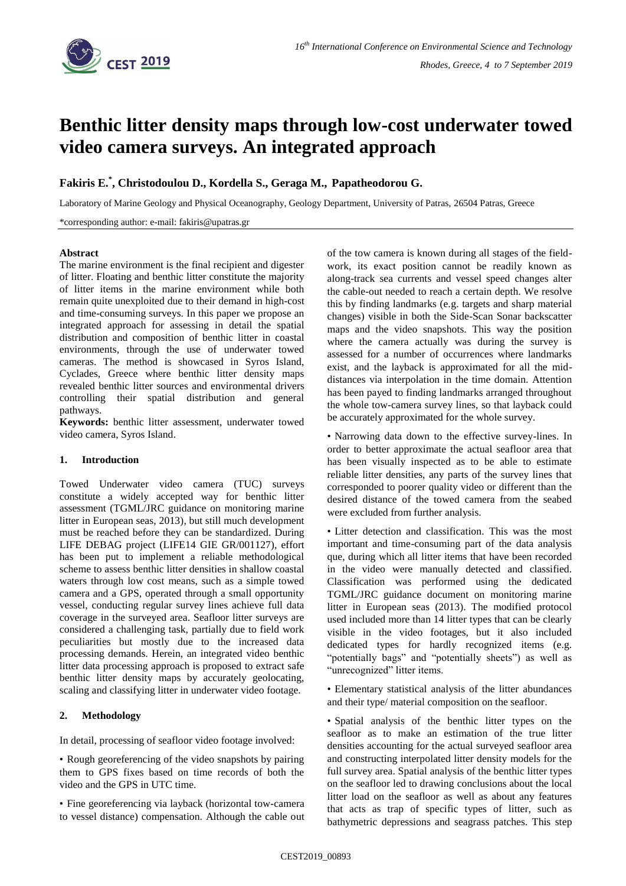

# **Benthic litter density maps through low-cost underwater towed video camera surveys. An integrated approach**

**Fakiris E. \* , Christodoulou D., Kordella S., Geraga M., Papatheodorou G.**

Laboratory of Marine Geology and Physical Oceanography, Geology Department, University of Patras, 26504 Patras, Greece

\*corresponding author: e-mail: fakiris@upatras.gr

## **Abstract**

The marine environment is the final recipient and digester of litter. Floating and benthic litter constitute the majority of litter items in the marine environment while both remain quite unexploited due to their demand in high-cost and time-consuming surveys. In this paper we propose an integrated approach for assessing in detail the spatial distribution and composition of benthic litter in coastal environments, through the use of underwater towed cameras. The method is showcased in Syros Island, Cyclades, Greece where benthic litter density maps revealed benthic litter sources and environmental drivers controlling their spatial distribution and general pathways.

**Keywords:** benthic litter assessment, underwater towed video camera, Syros Island.

# **1. Introduction**

Towed Underwater video camera (TUC) surveys constitute a widely accepted way for benthic litter assessment (TGML/JRC guidance on monitoring marine litter in European seas, 2013), but still much development must be reached before they can be standardized. During LIFE DEBAG project (LIFE14 GIE GR/001127), effort has been put to implement a reliable methodological scheme to assess benthic litter densities in shallow coastal waters through low cost means, such as a simple towed camera and a GPS, operated through a small opportunity vessel, conducting regular survey lines achieve full data coverage in the surveyed area. Seafloor litter surveys are considered a challenging task, partially due to field work peculiarities but mostly due to the increased data processing demands. Herein, an integrated video benthic litter data processing approach is proposed to extract safe benthic litter density maps by accurately geolocating, scaling and classifying litter in underwater video footage.

# **2. Methodology**

In detail, processing of seafloor video footage involved:

• Rough georeferencing of the video snapshots by pairing them to GPS fixes based on time records of both the video and the GPS in UTC time.

• Fine georeferencing via layback (horizontal tow-camera to vessel distance) compensation. Although the cable out of the tow camera is known during all stages of the fieldwork, its exact position cannot be readily known as along-track sea currents and vessel speed changes alter the cable-out needed to reach a certain depth. We resolve this by finding landmarks (e.g. targets and sharp material changes) visible in both the Side-Scan Sonar backscatter maps and the video snapshots. This way the position where the camera actually was during the survey is assessed for a number of occurrences where landmarks exist, and the layback is approximated for all the middistances via interpolation in the time domain. Attention has been payed to finding landmarks arranged throughout the whole tow-camera survey lines, so that layback could be accurately approximated for the whole survey.

• Narrowing data down to the effective survey-lines. In order to better approximate the actual seafloor area that has been visually inspected as to be able to estimate reliable litter densities, any parts of the survey lines that corresponded to poorer quality video or different than the desired distance of the towed camera from the seabed were excluded from further analysis.

• Litter detection and classification. This was the most important and time-consuming part of the data analysis que, during which all litter items that have been recorded in the video were manually detected and classified. Classification was performed using the dedicated TGML/JRC guidance document on monitoring marine litter in European seas (2013). The modified protocol used included more than 14 litter types that can be clearly visible in the video footages, but it also included dedicated types for hardly recognized items (e.g. "potentially bags" and "potentially sheets") as well as "unrecognized" litter items.

• Elementary statistical analysis of the litter abundances and their type/ material composition on the seafloor.

• Spatial analysis of the benthic litter types on the seafloor as to make an estimation of the true litter densities accounting for the actual surveyed seafloor area and constructing interpolated litter density models for the full survey area. Spatial analysis of the benthic litter types on the seafloor led to drawing conclusions about the local litter load on the seafloor as well as about any features that acts as trap of specific types of litter, such as bathymetric depressions and seagrass patches. This step